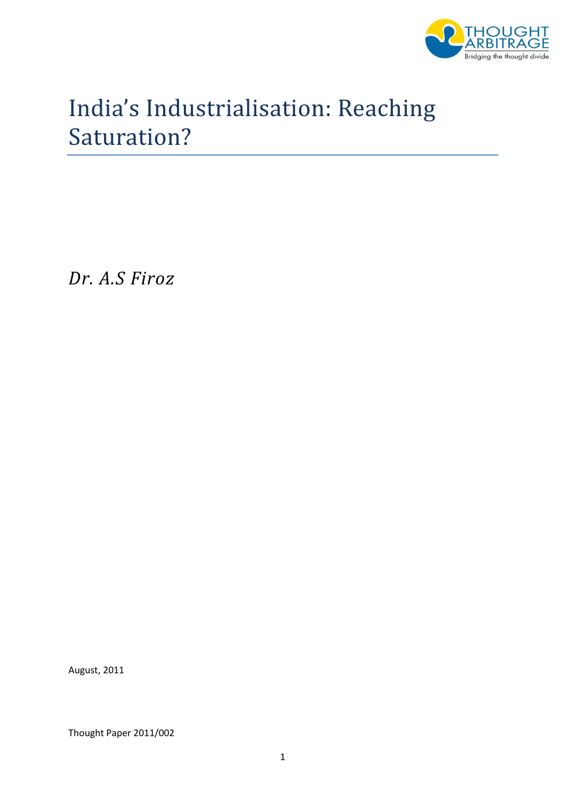

# India's Industrialisation: Reaching Saturation?

Dr. A.S Firoz

August, 2011

Thought Paper 2011/002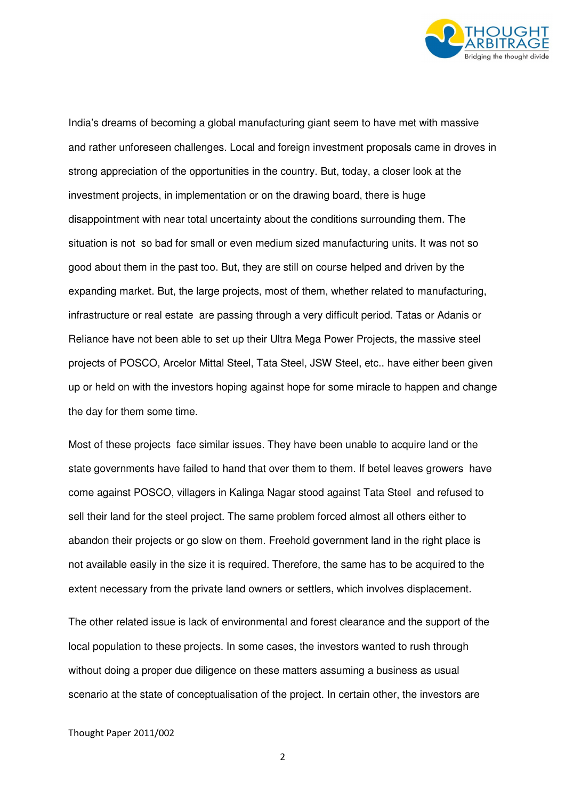

India's dreams of becoming a global manufacturing giant seem to have met with massive and rather unforeseen challenges. Local and foreign investment proposals came in droves in strong appreciation of the opportunities in the country. But, today, a closer look at the investment projects, in implementation or on the drawing board, there is huge disappointment with near total uncertainty about the conditions surrounding them. The situation is not so bad for small or even medium sized manufacturing units. It was not so good about them in the past too. But, they are still on course helped and driven by the expanding market. But, the large projects, most of them, whether related to manufacturing, infrastructure or real estate are passing through a very difficult period. Tatas or Adanis or Reliance have not been able to set up their Ultra Mega Power Projects, the massive steel projects of POSCO, Arcelor Mittal Steel, Tata Steel, JSW Steel, etc.. have either been given up or held on with the investors hoping against hope for some miracle to happen and change the day for them some time.

Most of these projects face similar issues. They have been unable to acquire land or the state governments have failed to hand that over them to them. If betel leaves growers have come against POSCO, villagers in Kalinga Nagar stood against Tata Steel and refused to sell their land for the steel project. The same problem forced almost all others either to abandon their projects or go slow on them. Freehold government land in the right place is not available easily in the size it is required. Therefore, the same has to be acquired to the extent necessary from the private land owners or settlers, which involves displacement.

The other related issue is lack of environmental and forest clearance and the support of the local population to these projects. In some cases, the investors wanted to rush through without doing a proper due diligence on these matters assuming a business as usual scenario at the state of conceptualisation of the project. In certain other, the investors are

## Thought Paper 2011/002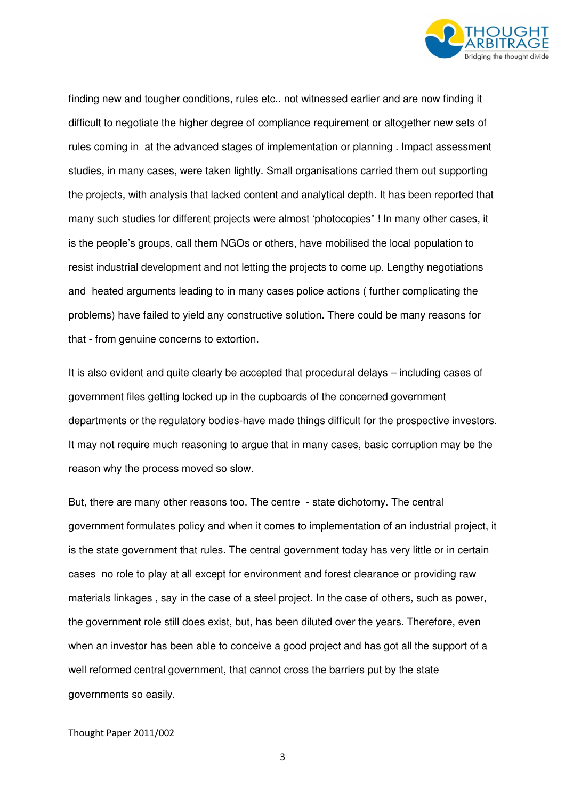

finding new and tougher conditions, rules etc.. not witnessed earlier and are now finding it difficult to negotiate the higher degree of compliance requirement or altogether new sets of rules coming in at the advanced stages of implementation or planning . Impact assessment studies, in many cases, were taken lightly. Small organisations carried them out supporting the projects, with analysis that lacked content and analytical depth. It has been reported that many such studies for different projects were almost 'photocopies" ! In many other cases, it is the people's groups, call them NGOs or others, have mobilised the local population to resist industrial development and not letting the projects to come up. Lengthy negotiations and heated arguments leading to in many cases police actions ( further complicating the problems) have failed to yield any constructive solution. There could be many reasons for that - from genuine concerns to extortion.

It is also evident and quite clearly be accepted that procedural delays – including cases of government files getting locked up in the cupboards of the concerned government departments or the regulatory bodies-have made things difficult for the prospective investors. It may not require much reasoning to argue that in many cases, basic corruption may be the reason why the process moved so slow.

But, there are many other reasons too. The centre - state dichotomy. The central government formulates policy and when it comes to implementation of an industrial project, it is the state government that rules. The central government today has very little or in certain cases no role to play at all except for environment and forest clearance or providing raw materials linkages , say in the case of a steel project. In the case of others, such as power, the government role still does exist, but, has been diluted over the years. Therefore, even when an investor has been able to conceive a good project and has got all the support of a well reformed central government, that cannot cross the barriers put by the state governments so easily.

Thought Paper 2011/002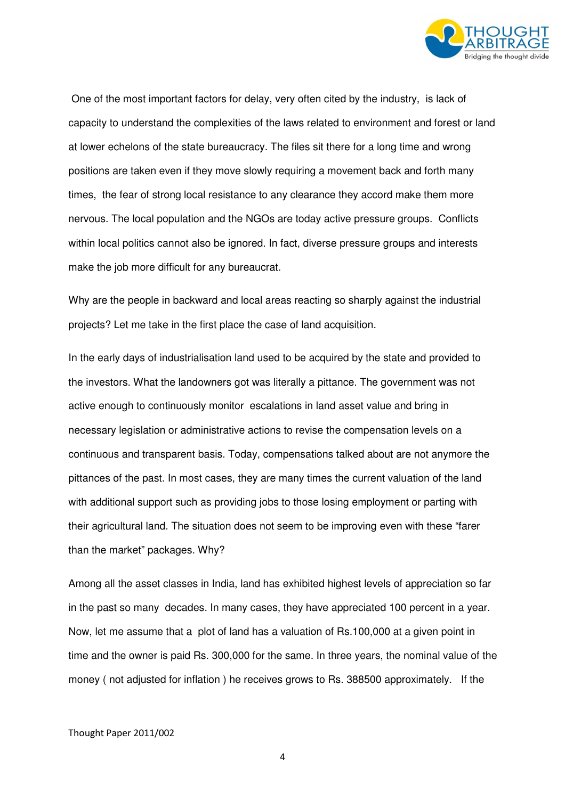

 One of the most important factors for delay, very often cited by the industry, is lack of capacity to understand the complexities of the laws related to environment and forest or land at lower echelons of the state bureaucracy. The files sit there for a long time and wrong positions are taken even if they move slowly requiring a movement back and forth many times, the fear of strong local resistance to any clearance they accord make them more nervous. The local population and the NGOs are today active pressure groups. Conflicts within local politics cannot also be ignored. In fact, diverse pressure groups and interests make the job more difficult for any bureaucrat.

Why are the people in backward and local areas reacting so sharply against the industrial projects? Let me take in the first place the case of land acquisition.

In the early days of industrialisation land used to be acquired by the state and provided to the investors. What the landowners got was literally a pittance. The government was not active enough to continuously monitor escalations in land asset value and bring in necessary legislation or administrative actions to revise the compensation levels on a continuous and transparent basis. Today, compensations talked about are not anymore the pittances of the past. In most cases, they are many times the current valuation of the land with additional support such as providing jobs to those losing employment or parting with their agricultural land. The situation does not seem to be improving even with these "farer than the market" packages. Why?

Among all the asset classes in India, land has exhibited highest levels of appreciation so far in the past so many decades. In many cases, they have appreciated 100 percent in a year. Now, let me assume that a plot of land has a valuation of Rs.100,000 at a given point in time and the owner is paid Rs. 300,000 for the same. In three years, the nominal value of the money ( not adjusted for inflation ) he receives grows to Rs. 388500 approximately. If the

Thought Paper 2011/002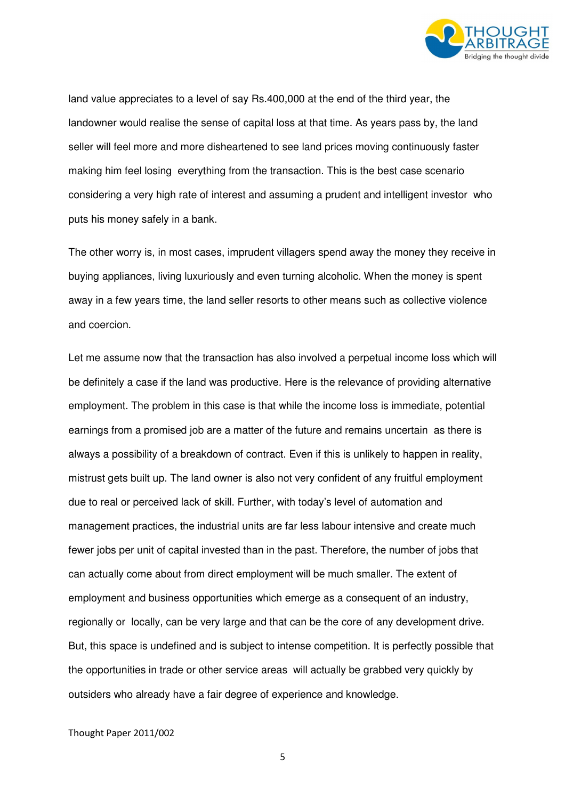

land value appreciates to a level of say Rs.400,000 at the end of the third year, the landowner would realise the sense of capital loss at that time. As years pass by, the land seller will feel more and more disheartened to see land prices moving continuously faster making him feel losing everything from the transaction. This is the best case scenario considering a very high rate of interest and assuming a prudent and intelligent investor who puts his money safely in a bank.

The other worry is, in most cases, imprudent villagers spend away the money they receive in buying appliances, living luxuriously and even turning alcoholic. When the money is spent away in a few years time, the land seller resorts to other means such as collective violence and coercion.

Let me assume now that the transaction has also involved a perpetual income loss which will be definitely a case if the land was productive. Here is the relevance of providing alternative employment. The problem in this case is that while the income loss is immediate, potential earnings from a promised job are a matter of the future and remains uncertain as there is always a possibility of a breakdown of contract. Even if this is unlikely to happen in reality, mistrust gets built up. The land owner is also not very confident of any fruitful employment due to real or perceived lack of skill. Further, with today's level of automation and management practices, the industrial units are far less labour intensive and create much fewer jobs per unit of capital invested than in the past. Therefore, the number of jobs that can actually come about from direct employment will be much smaller. The extent of employment and business opportunities which emerge as a consequent of an industry, regionally or locally, can be very large and that can be the core of any development drive. But, this space is undefined and is subject to intense competition. It is perfectly possible that the opportunities in trade or other service areas will actually be grabbed very quickly by outsiders who already have a fair degree of experience and knowledge.

## Thought Paper 2011/002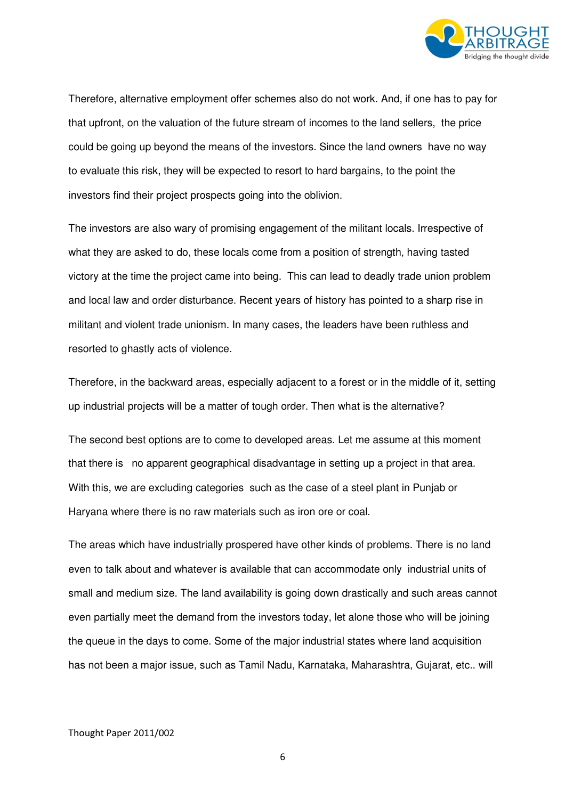

Therefore, alternative employment offer schemes also do not work. And, if one has to pay for that upfront, on the valuation of the future stream of incomes to the land sellers, the price could be going up beyond the means of the investors. Since the land owners have no way to evaluate this risk, they will be expected to resort to hard bargains, to the point the investors find their project prospects going into the oblivion.

The investors are also wary of promising engagement of the militant locals. Irrespective of what they are asked to do, these locals come from a position of strength, having tasted victory at the time the project came into being. This can lead to deadly trade union problem and local law and order disturbance. Recent years of history has pointed to a sharp rise in militant and violent trade unionism. In many cases, the leaders have been ruthless and resorted to ghastly acts of violence.

Therefore, in the backward areas, especially adjacent to a forest or in the middle of it, setting up industrial projects will be a matter of tough order. Then what is the alternative?

The second best options are to come to developed areas. Let me assume at this moment that there is no apparent geographical disadvantage in setting up a project in that area. With this, we are excluding categories such as the case of a steel plant in Punjab or Haryana where there is no raw materials such as iron ore or coal.

The areas which have industrially prospered have other kinds of problems. There is no land even to talk about and whatever is available that can accommodate only industrial units of small and medium size. The land availability is going down drastically and such areas cannot even partially meet the demand from the investors today, let alone those who will be joining the queue in the days to come. Some of the major industrial states where land acquisition has not been a major issue, such as Tamil Nadu, Karnataka, Maharashtra, Gujarat, etc.. will

## Thought Paper 2011/002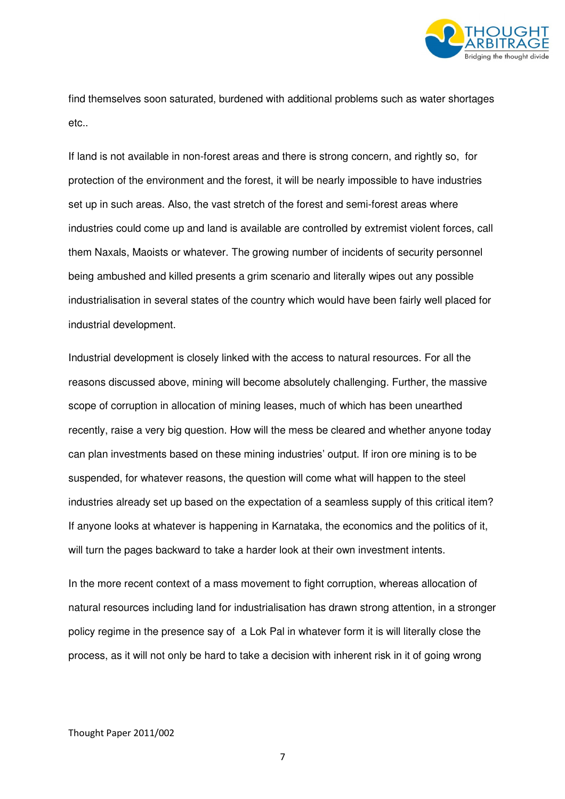

find themselves soon saturated, burdened with additional problems such as water shortages etc..

If land is not available in non-forest areas and there is strong concern, and rightly so, for protection of the environment and the forest, it will be nearly impossible to have industries set up in such areas. Also, the vast stretch of the forest and semi-forest areas where industries could come up and land is available are controlled by extremist violent forces, call them Naxals, Maoists or whatever. The growing number of incidents of security personnel being ambushed and killed presents a grim scenario and literally wipes out any possible industrialisation in several states of the country which would have been fairly well placed for industrial development.

Industrial development is closely linked with the access to natural resources. For all the reasons discussed above, mining will become absolutely challenging. Further, the massive scope of corruption in allocation of mining leases, much of which has been unearthed recently, raise a very big question. How will the mess be cleared and whether anyone today can plan investments based on these mining industries' output. If iron ore mining is to be suspended, for whatever reasons, the question will come what will happen to the steel industries already set up based on the expectation of a seamless supply of this critical item? If anyone looks at whatever is happening in Karnataka, the economics and the politics of it, will turn the pages backward to take a harder look at their own investment intents.

In the more recent context of a mass movement to fight corruption, whereas allocation of natural resources including land for industrialisation has drawn strong attention, in a stronger policy regime in the presence say of a Lok Pal in whatever form it is will literally close the process, as it will not only be hard to take a decision with inherent risk in it of going wrong

## Thought Paper 2011/002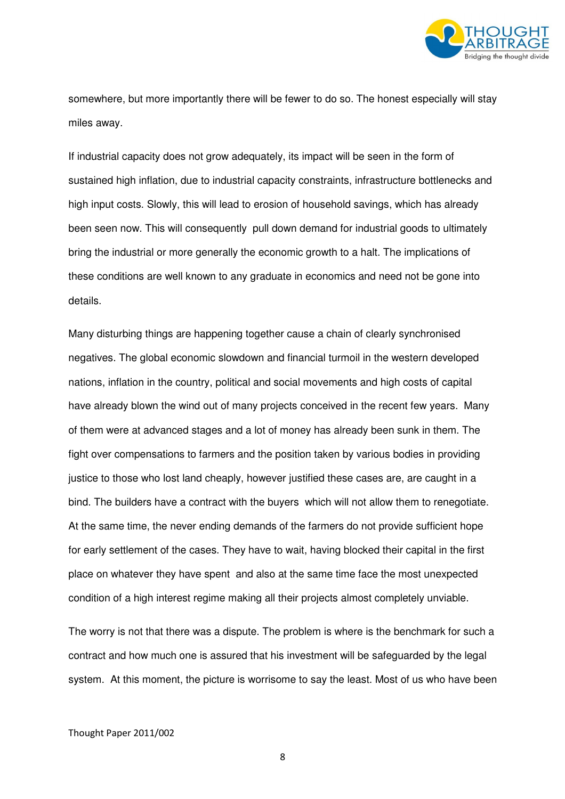

somewhere, but more importantly there will be fewer to do so. The honest especially will stay miles away.

If industrial capacity does not grow adequately, its impact will be seen in the form of sustained high inflation, due to industrial capacity constraints, infrastructure bottlenecks and high input costs. Slowly, this will lead to erosion of household savings, which has already been seen now. This will consequently pull down demand for industrial goods to ultimately bring the industrial or more generally the economic growth to a halt. The implications of these conditions are well known to any graduate in economics and need not be gone into details.

Many disturbing things are happening together cause a chain of clearly synchronised negatives. The global economic slowdown and financial turmoil in the western developed nations, inflation in the country, political and social movements and high costs of capital have already blown the wind out of many projects conceived in the recent few years. Many of them were at advanced stages and a lot of money has already been sunk in them. The fight over compensations to farmers and the position taken by various bodies in providing justice to those who lost land cheaply, however justified these cases are, are caught in a bind. The builders have a contract with the buyers which will not allow them to renegotiate. At the same time, the never ending demands of the farmers do not provide sufficient hope for early settlement of the cases. They have to wait, having blocked their capital in the first place on whatever they have spent and also at the same time face the most unexpected condition of a high interest regime making all their projects almost completely unviable.

The worry is not that there was a dispute. The problem is where is the benchmark for such a contract and how much one is assured that his investment will be safeguarded by the legal system. At this moment, the picture is worrisome to say the least. Most of us who have been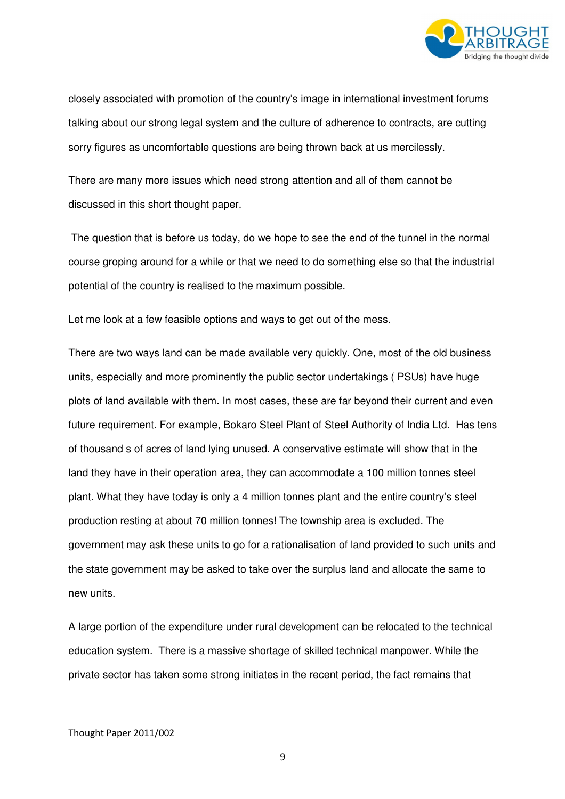

closely associated with promotion of the country's image in international investment forums talking about our strong legal system and the culture of adherence to contracts, are cutting sorry figures as uncomfortable questions are being thrown back at us mercilessly.

There are many more issues which need strong attention and all of them cannot be discussed in this short thought paper.

 The question that is before us today, do we hope to see the end of the tunnel in the normal course groping around for a while or that we need to do something else so that the industrial potential of the country is realised to the maximum possible.

Let me look at a few feasible options and ways to get out of the mess.

There are two ways land can be made available very quickly. One, most of the old business units, especially and more prominently the public sector undertakings ( PSUs) have huge plots of land available with them. In most cases, these are far beyond their current and even future requirement. For example, Bokaro Steel Plant of Steel Authority of India Ltd. Has tens of thousand s of acres of land lying unused. A conservative estimate will show that in the land they have in their operation area, they can accommodate a 100 million tonnes steel plant. What they have today is only a 4 million tonnes plant and the entire country's steel production resting at about 70 million tonnes! The township area is excluded. The government may ask these units to go for a rationalisation of land provided to such units and the state government may be asked to take over the surplus land and allocate the same to new units.

A large portion of the expenditure under rural development can be relocated to the technical education system. There is a massive shortage of skilled technical manpower. While the private sector has taken some strong initiates in the recent period, the fact remains that